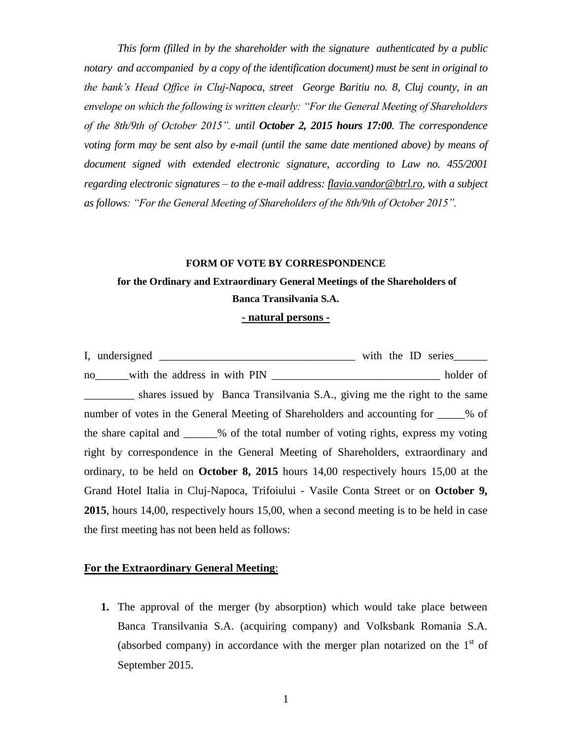*This form (filled in by the shareholder with the signature authenticated by a public notary and accompanied by a copy of the identification document) must be sent in original to the bank's Head Office in Cluj-Napoca, street George Baritiu no. 8, Cluj county, in an envelope on which the following is written clearly: "For the General Meeting of Shareholders of the 8th/9th of October 2015". until October 2, 2015 hours 17:00. The correspondence voting form may be sent also by e-mail (until the same date mentioned above) by means of document signed with extended electronic signature, according to Law no. 455/2001 regarding electronic signatures – to the e-mail address: [flavia.vandor@btrl.ro,](mailto:flavia.vandor@btrl.ro) with a subject as follows: "For the General Meeting of Shareholders of the 8th/9th of October 2015".*

#### **FORM OF VOTE BY CORRESPONDENCE**

# **for the Ordinary and Extraordinary General Meetings of the Shareholders of Banca Transilvania S.A.**

#### **- natural persons -**

I, undersigned \_\_\_\_\_\_\_\_\_\_\_\_\_\_\_\_\_\_\_\_\_\_\_\_\_\_\_\_\_\_\_\_\_\_\_ with the ID series\_\_\_\_\_\_ no with the address in with PIN holder of shares issued by Banca Transilvania S.A., giving me the right to the same number of votes in the General Meeting of Shareholders and accounting for \_\_\_\_\_% of the share capital and \_\_\_\_\_\_% of the total number of voting rights, express my voting right by correspondence in the General Meeting of Shareholders, extraordinary and ordinary, to be held on **October 8, 2015** hours 14,00 respectively hours 15,00 at the Grand Hotel Italia in Cluj-Napoca, Trifoiului - Vasile Conta Street or on **October 9, 2015**, hours 14,00, respectively hours 15,00, when a second meeting is to be held in case the first meeting has not been held as follows:

### **For the Extraordinary General Meeting**:

**1.** The approval of the merger (by absorption) which would take place between Banca Transilvania S.A. (acquiring company) and Volksbank Romania S.A. (absorbed company) in accordance with the merger plan notarized on the  $1<sup>st</sup>$  of September 2015.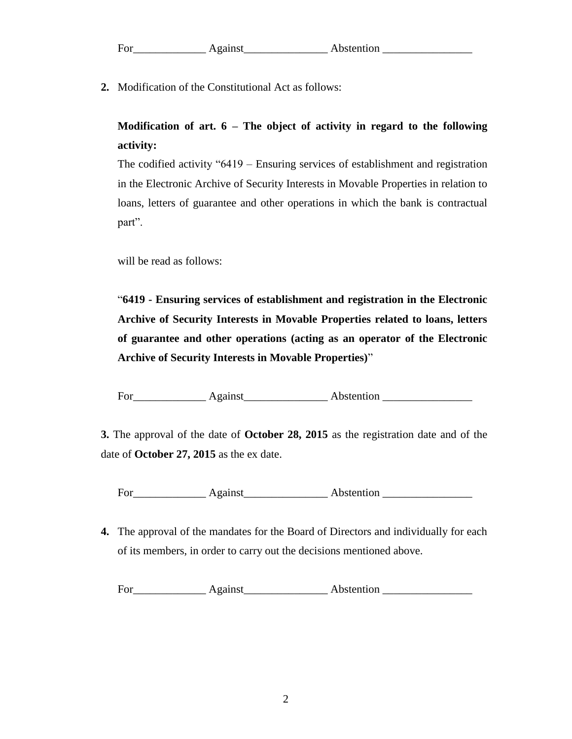| For | Abstention |
|-----|------------|
|     |            |

**2.** Modification of the Constitutional Act as follows:

**Modification of art. 6 – The object of activity in regard to the following activity:**

The codified activity "6419 – Ensuring services of establishment and registration in the Electronic Archive of Security Interests in Movable Properties in relation to loans, letters of guarantee and other operations in which the bank is contractual part".

will be read as follows:

"**6419 - Ensuring services of establishment and registration in the Electronic Archive of Security Interests in Movable Properties related to loans, letters of guarantee and other operations (acting as an operator of the Electronic Archive of Security Interests in Movable Properties)**"

For Against Abstention

**3.** The approval of the date of **October 28, 2015** as the registration date and of the date of **October 27, 2015** as the ex date.

For Against Abstention **Abstention** 

**4.** The approval of the mandates for the Board of Directors and individually for each of its members, in order to carry out the decisions mentioned above.

For Against Abstention **Abstention**